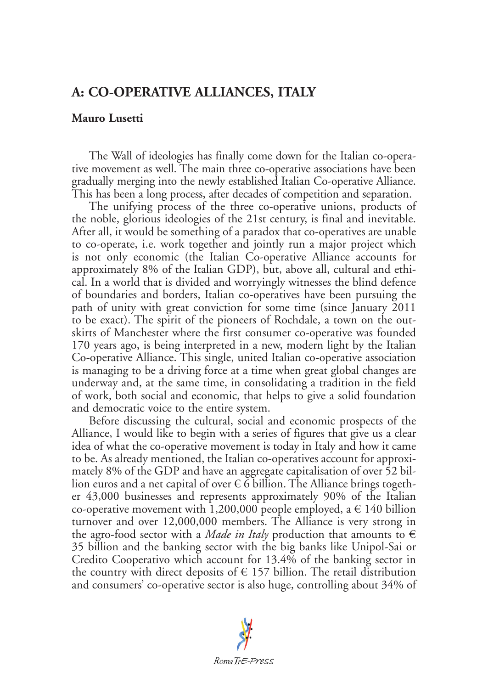## **A: CO-OPERATIVE ALLIANCES, ITALY**

## **Mauro Lusetti**

The Wall of ideologies has finally come down for the Italian co-operative movement as well. The main three co-operative associations have been gradually merging into the newly established Italian Co-operative Alliance. This has been a long process, after decades of competition and separation.

The unifying process of the three co-operative unions, products of the noble, glorious ideologies of the 21st century, is final and inevitable. After all, it would be something of a paradox that co-operatives are unable to co-operate, i.e. work together and jointly run a major project which is not only economic (the Italian Co-operative Alliance accounts for approximately 8% of the Italian GDP), but, above all, cultural and ethical. In a world that is divided and worryingly witnesses the blind defence of boundaries and borders, Italian co-operatives have been pursuing the path of unity with great conviction for some time (since January 2011 to be exact). The spirit of the pioneers of Rochdale, a town on the outskirts of Manchester where the first consumer co-operative was founded 170 years ago, is being interpreted in a new, modern light by the Italian Co-operative Alliance. This single, united Italian co-operative association is managing to be a driving force at a time when great global changes are underway and, at the same time, in consolidating a tradition in the field of work, both social and economic, that helps to give a solid foundation and democratic voice to the entire system.

Before discussing the cultural, social and economic prospects of the Alliance, I would like to begin with a series of figures that give us a clear idea of what the co-operative movement is today in Italy and how it came to be. As already mentioned, the Italian co-operatives account for approximately 8% of the GDP and have an aggregate capitalisation of over 52 billion euros and a net capital of over  $\epsilon$  6 billion. The Alliance brings together 43,000 businesses and represents approximately 90% of the Italian co-operative movement with 1,200,000 people employed, a  $\in$  140 billion turnover and over 12,000,000 members. The Alliance is very strong in the agro-food sector with a *Made in Italy* production that amounts to  $\epsilon$ 35 billion and the banking sector with the big banks like Unipol-Sai or Credito Cooperativo which account for 13.4% of the banking sector in the country with direct deposits of  $\epsilon$  157 billion. The retail distribution and consumers' co-operative sector is also huge, controlling about 34% of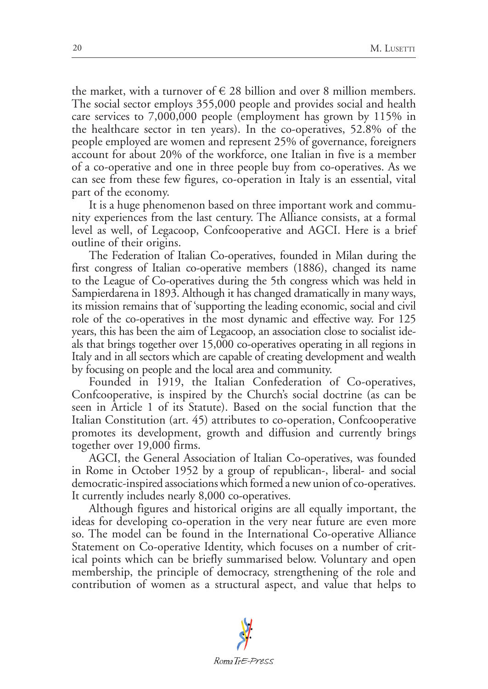the market, with a turnover of  $\in$  28 billion and over 8 million members. The social sector employs 355,000 people and provides social and health care services to 7,000,000 people (employment has grown by 115% in the healthcare sector in ten years). In the co-operatives, 52.8% of the people employed are women and represent 25% of governance, foreigners account for about 20% of the workforce, one Italian in five is a member of a co-operative and one in three people buy from co-operatives. As we can see from these few figures, co-operation in Italy is an essential, vital part of the economy.

It is a huge phenomenon based on three important work and community experiences from the last century. The Alliance consists, at a formal level as well, of Legacoop, Confcooperative and AGCI. Here is a brief outline of their origins.

The Federation of Italian Co-operatives, founded in Milan during the first congress of Italian co-operative members (1886), changed its name to the League of Co-operatives during the 5th congress which was held in Sampierdarena in 1893. Although it has changed dramatically in many ways, its mission remains that of 'supporting the leading economic, social and civil role of the co-operatives in the most dynamic and effective way. For 125 years, this has been the aim of Legacoop, an association close to socialist ideals that brings together over 15,000 co-operatives operating in all regions in Italy and in all sectors which are capable of creating development and wealth by focusing on people and the local area and community.

Founded in 1919, the Italian Confederation of Co-operatives, Confcooperative, is inspired by the Church's social doctrine (as can be seen in Article 1 of its Statute). Based on the social function that the Italian Constitution (art. 45) attributes to co-operation, Confcooperative promotes its development, growth and diffusion and currently brings together over 19,000 firms.

AGCI, the General Association of Italian Co-operatives, was founded in Rome in October 1952 by a group of republican-, liberal- and social democratic-inspired associations which formed a new union of co-operatives. It currently includes nearly 8,000 co-operatives.

Although figures and historical origins are all equally important, the ideas for developing co-operation in the very near future are even more so. The model can be found in the International Co-operative Alliance Statement on Co-operative Identity, which focuses on a number of critical points which can be briefly summarised below. Voluntary and open membership, the principle of democracy, strengthening of the role and contribution of women as a structural aspect, and value that helps to